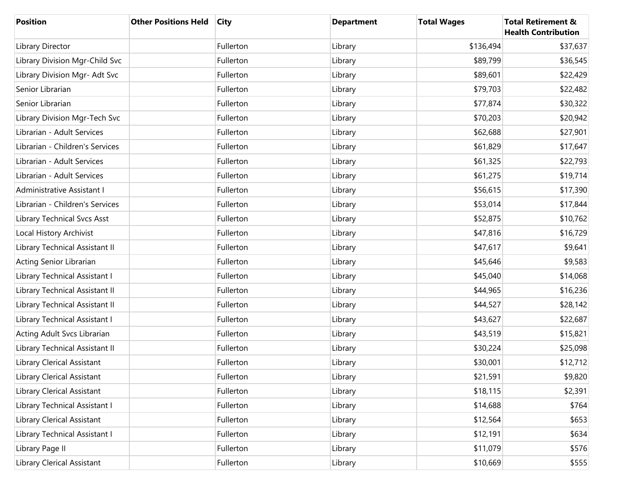| <b>Position</b>                   | <b>Other Positions Held</b> | <b>City</b> | <b>Department</b> | <b>Total Wages</b> | <b>Total Retirement &amp;</b><br><b>Health Contribution</b> |
|-----------------------------------|-----------------------------|-------------|-------------------|--------------------|-------------------------------------------------------------|
| Library Director                  |                             | Fullerton   | Library           | \$136,494          | \$37,637                                                    |
| Library Division Mgr-Child Svc    |                             | Fullerton   | Library           | \$89,799           | \$36,545                                                    |
| Library Division Mgr- Adt Svc     |                             | Fullerton   | Library           | \$89,601           | \$22,429                                                    |
| Senior Librarian                  |                             | Fullerton   | Library           | \$79,703           | \$22,482                                                    |
| Senior Librarian                  |                             | Fullerton   | Library           | \$77,874           | \$30,322                                                    |
| Library Division Mgr-Tech Svc     |                             | Fullerton   | Library           | \$70,203           | \$20,942                                                    |
| Librarian - Adult Services        |                             | Fullerton   | Library           | \$62,688           | \$27,901                                                    |
| Librarian - Children's Services   |                             | Fullerton   | Library           | \$61,829           | \$17,647                                                    |
| Librarian - Adult Services        |                             | Fullerton   | Library           | \$61,325           | \$22,793                                                    |
| Librarian - Adult Services        |                             | Fullerton   | Library           | \$61,275           | \$19,714                                                    |
| Administrative Assistant I        |                             | Fullerton   | Library           | \$56,615           | \$17,390                                                    |
| Librarian - Children's Services   |                             | Fullerton   | Library           | \$53,014           | \$17,844                                                    |
| Library Technical Svcs Asst       |                             | Fullerton   | Library           | \$52,875           | \$10,762                                                    |
| Local History Archivist           |                             | Fullerton   | Library           | \$47,816           | \$16,729                                                    |
| Library Technical Assistant II    |                             | Fullerton   | Library           | \$47,617           | \$9,641                                                     |
| Acting Senior Librarian           |                             | Fullerton   | Library           | \$45,646           | \$9,583                                                     |
| Library Technical Assistant I     |                             | Fullerton   | Library           | \$45,040           | \$14,068                                                    |
| Library Technical Assistant II    |                             | Fullerton   | Library           | \$44,965           | \$16,236                                                    |
| Library Technical Assistant II    |                             | Fullerton   | Library           | \$44,527           | \$28,142                                                    |
| Library Technical Assistant I     |                             | Fullerton   | Library           | \$43,627           | \$22,687                                                    |
| Acting Adult Svcs Librarian       |                             | Fullerton   | Library           | \$43,519           | \$15,821                                                    |
| Library Technical Assistant II    |                             | Fullerton   | Library           | \$30,224           | \$25,098                                                    |
| Library Clerical Assistant        |                             | Fullerton   | Library           | \$30,001           | \$12,712                                                    |
| Library Clerical Assistant        |                             | Fullerton   | Library           | \$21,591           | \$9,820                                                     |
| <b>Library Clerical Assistant</b> |                             | Fullerton   | Library           | \$18,115           | \$2,391                                                     |
| Library Technical Assistant I     |                             | Fullerton   | Library           | \$14,688           | \$764                                                       |
| Library Clerical Assistant        |                             | Fullerton   | Library           | \$12,564           | \$653                                                       |
| Library Technical Assistant I     |                             | Fullerton   | Library           | \$12,191           | \$634                                                       |
| Library Page II                   |                             | Fullerton   | Library           | \$11,079           | \$576                                                       |
| Library Clerical Assistant        |                             | Fullerton   | Library           | \$10,669           | \$555                                                       |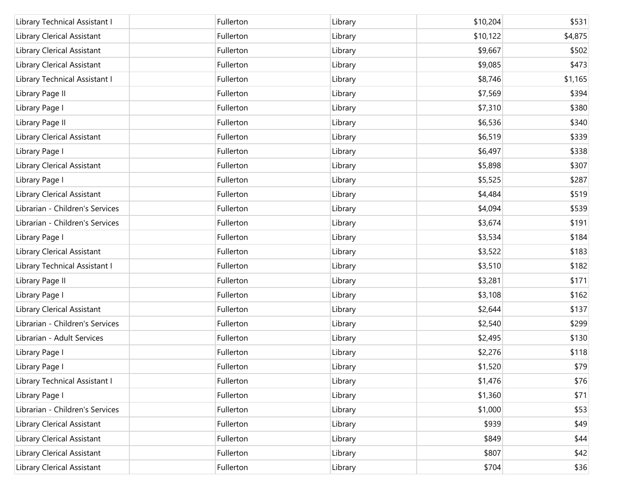| Library Technical Assistant I   | Fullerton | Library | \$10,204 | \$531   |
|---------------------------------|-----------|---------|----------|---------|
| Library Clerical Assistant      | Fullerton | Library | \$10,122 | \$4,875 |
| Library Clerical Assistant      | Fullerton | Library | \$9,667  | \$502   |
| Library Clerical Assistant      | Fullerton | Library | \$9,085  | \$473   |
| Library Technical Assistant I   | Fullerton | Library | \$8,746  | \$1,165 |
| Library Page II                 | Fullerton | Library | \$7,569  | \$394   |
| Library Page I                  | Fullerton | Library | \$7,310  | \$380   |
| Library Page II                 | Fullerton | Library | \$6,536  | \$340   |
| Library Clerical Assistant      | Fullerton | Library | \$6,519  | \$339   |
| Library Page I                  | Fullerton | Library | \$6,497  | \$338   |
| Library Clerical Assistant      | Fullerton | Library | \$5,898  | \$307   |
| Library Page I                  | Fullerton | Library | \$5,525  | \$287   |
| Library Clerical Assistant      | Fullerton | Library | \$4,484  | \$519   |
| Librarian - Children's Services | Fullerton | Library | \$4,094  | \$539   |
| Librarian - Children's Services | Fullerton | Library | \$3,674  | \$191   |
| Library Page I                  | Fullerton | Library | \$3,534  | \$184   |
| Library Clerical Assistant      | Fullerton | Library | \$3,522  | \$183   |
| Library Technical Assistant I   | Fullerton | Library | \$3,510  | \$182   |
| Library Page II                 | Fullerton | Library | \$3,281  | \$171   |
| Library Page I                  | Fullerton | Library | \$3,108  | \$162   |
| Library Clerical Assistant      | Fullerton | Library | \$2,644  | \$137   |
| Librarian - Children's Services | Fullerton | Library | \$2,540  | \$299   |
| Librarian - Adult Services      | Fullerton | Library | \$2,495  | \$130   |
| Library Page I                  | Fullerton | Library | \$2,276  | \$118   |
| Library Page I                  | Fullerton | Library | \$1,520  | \$79    |
| Library Technical Assistant I   | Fullerton | Library | \$1,476  | \$76    |
| Library Page I                  | Fullerton | Library | \$1,360  | \$71    |
| Librarian - Children's Services | Fullerton | Library | \$1,000  | \$53    |
| Library Clerical Assistant      | Fullerton | Library | \$939    | \$49    |
| Library Clerical Assistant      | Fullerton | Library | \$849    | \$44    |
| Library Clerical Assistant      | Fullerton | Library | \$807    | \$42    |
| Library Clerical Assistant      | Fullerton | Library | \$704    | \$36    |